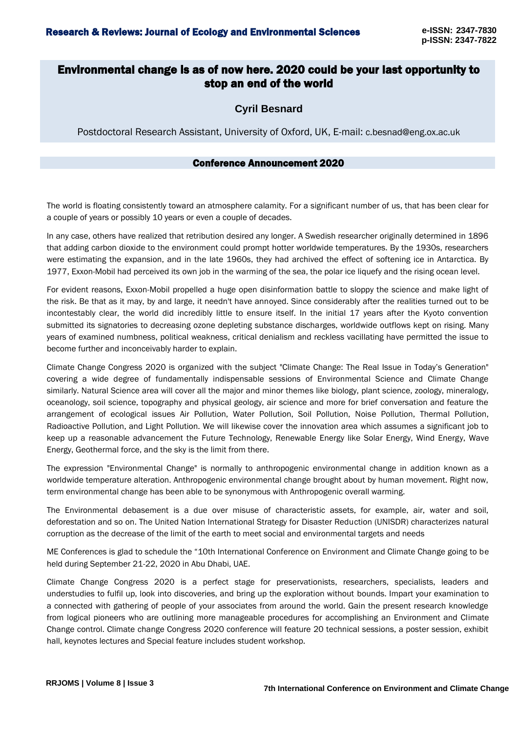## Environmental change is as of now here. 2020 could be your last opportunity to stop an end of the world

### **Cyril Besnard**

Postdoctoral Research Assistant, University of Oxford, UK, E-mail: c.besnad@eng.ox.ac.uk

#### Conference Announcement 2020

The world is floating consistently toward an atmosphere calamity. For a significant number of us, that has been clear for a couple of years or possibly 10 years or even a couple of decades.

In any case, others have realized that retribution desired any longer. A Swedish researcher originally determined in 1896 that adding carbon dioxide to the environment could prompt hotter worldwide temperatures. By the 1930s, researchers were estimating the expansion, and in the late 1960s, they had archived the effect of softening ice in Antarctica. By 1977, Exxon-Mobil had perceived its own job in the warming of the sea, the polar ice liquefy and the rising ocean level.

For evident reasons, Exxon-Mobil propelled a huge open disinformation battle to sloppy the science and make light of the risk. Be that as it may, by and large, it needn't have annoyed. Since considerably after the realities turned out to be incontestably clear, the world did incredibly little to ensure itself. In the initial 17 years after the Kyoto convention submitted its signatories to decreasing ozone depleting substance discharges, worldwide outflows kept on rising. Many years of examined numbness, political weakness, critical denialism and reckless vacillating have permitted the issue to become further and inconceivably harder to explain.

Climate Change Congress 2020 is organized with the subject "Climate Change: The Real Issue in Today's Generation" covering a wide degree of fundamentally indispensable sessions of Environmental Science and Climate Change similarly. Natural Science area will cover all the major and minor themes like biology, plant science, zoology, mineralogy, oceanology, soil science, topography and physical geology, air science and more for brief conversation and feature the arrangement of ecological issues Air Pollution, Water Pollution, Soil Pollution, Noise Pollution, Thermal Pollution, Radioactive Pollution, and Light Pollution. We will likewise cover the innovation area which assumes a significant job to keep up a reasonable advancement the Future Technology, Renewable Energy like Solar Energy, Wind Energy, Wave Energy, Geothermal force, and the sky is the limit from there.

The expression "Environmental Change" is normally to anthropogenic environmental change in addition known as a worldwide temperature alteration. Anthropogenic environmental change brought about by human movement. Right now, term environmental change has been able to be synonymous with Anthropogenic overall warming.

The Environmental debasement is a due over misuse of characteristic assets, for example, air, water and soil, deforestation and so on. The United Nation International Strategy for Disaster Reduction (UNISDR) characterizes natural corruption as the decrease of the limit of the earth to meet social and environmental targets and needs

ME Conferences is glad to schedule the "10th International Conference on Environment and Climate Change going to be held during September 21-22, 2020 in Abu Dhabi, UAE.

Climate Change Congress 2020 is a perfect stage for preservationists, researchers, specialists, leaders and understudies to fulfil up, look into discoveries, and bring up the exploration without bounds. Impart your examination to a connected with gathering of people of your associates from around the world. Gain the present research knowledge from logical pioneers who are outlining more manageable procedures for accomplishing an Environment and Climate Change control. Climate change Congress 2020 conference will feature 20 technical sessions, a poster session, exhibit hall, keynotes lectures and Special feature includes student workshop.